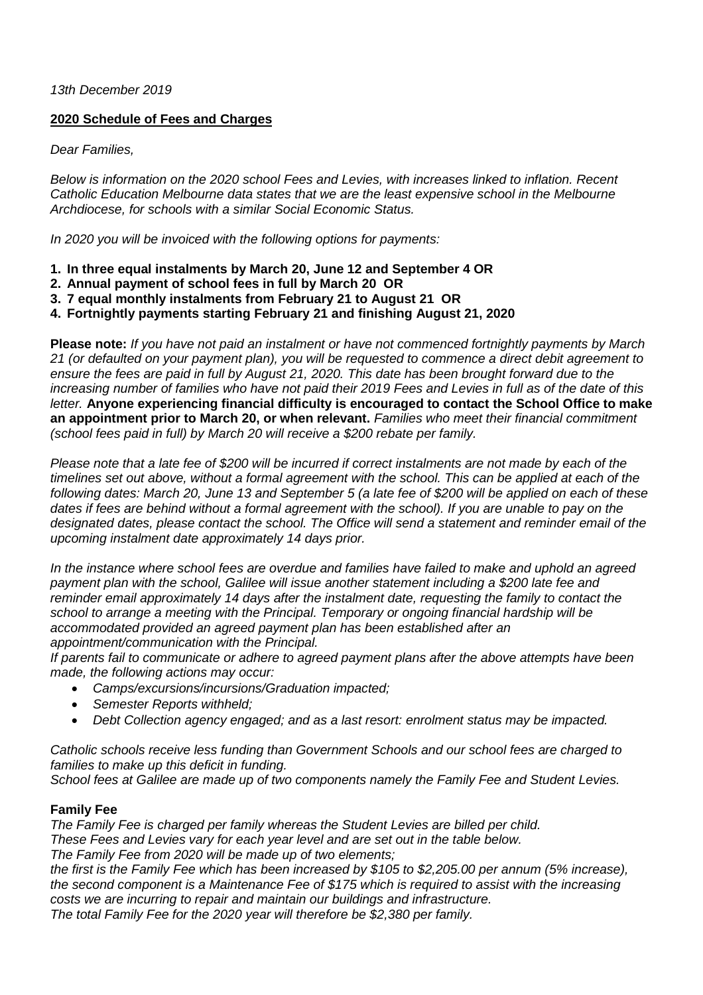*13th December 2019*

## **2020 Schedule of Fees and Charges**

*Dear Families,*

*Below is information on the 2020 school Fees and Levies, with increases linked to inflation. Recent Catholic Education Melbourne data states that we are the least expensive school in the Melbourne Archdiocese, for schools with a similar Social Economic Status.*

*In 2020 you will be invoiced with the following options for payments:*

- **1. In three equal instalments by March 20, June 12 and September 4 OR**
- **2. Annual payment of school fees in full by March 20 OR**
- **3. 7 equal monthly instalments from February 21 to August 21 OR**
- **4. Fortnightly payments starting February 21 and finishing August 21, 2020**

**Please note:** *If you have not paid an instalment or have not commenced fortnightly payments by March 21 (or defaulted on your payment plan), you will be requested to commence a direct debit agreement to ensure the fees are paid in full by August 21, 2020. This date has been brought forward due to the increasing number of families who have not paid their 2019 Fees and Levies in full as of the date of this letter.* **Anyone experiencing financial difficulty is encouraged to contact the School Office to make an appointment prior to March 20, or when relevant.** *Families who meet their financial commitment (school fees paid in full) by March 20 will receive a \$200 rebate per family.*

*Please note that a late fee of \$200 will be incurred if correct instalments are not made by each of the timelines set out above, without a formal agreement with the school. This can be applied at each of the following dates: March 20, June 13 and September 5 (a late fee of \$200 will be applied on each of these dates if fees are behind without a formal agreement with the school). If you are unable to pay on the designated dates, please contact the school. The Office will send a statement and reminder email of the upcoming instalment date approximately 14 days prior.*

*In the instance where school fees are overdue and families have failed to make and uphold an agreed payment plan with the school, Galilee will issue another statement including a \$200 late fee and reminder email approximately 14 days after the instalment date, requesting the family to contact the school to arrange a meeting with the Principal. Temporary or ongoing financial hardship will be accommodated provided an agreed payment plan has been established after an appointment/communication with the Principal.*

*If parents fail to communicate or adhere to agreed payment plans after the above attempts have been made, the following actions may occur:*

- *Camps/excursions/incursions/Graduation impacted;*
- *Semester Reports withheld;*
- *Debt Collection agency engaged; and as a last resort: enrolment status may be impacted.*

*Catholic schools receive less funding than Government Schools and our school fees are charged to families to make up this deficit in funding.* 

*School fees at Galilee are made up of two components namely the Family Fee and Student Levies.* 

## **Family Fee**

*The Family Fee is charged per family whereas the Student Levies are billed per child. These Fees and Levies vary for each year level and are set out in the table below. The Family Fee from 2020 will be made up of two elements;*

*the first is the Family Fee which has been increased by \$105 to \$2,205.00 per annum (5% increase), the second component is a Maintenance Fee of \$175 which is required to assist with the increasing costs we are incurring to repair and maintain our buildings and infrastructure.* 

*The total Family Fee for the 2020 year will therefore be \$2,380 per family.*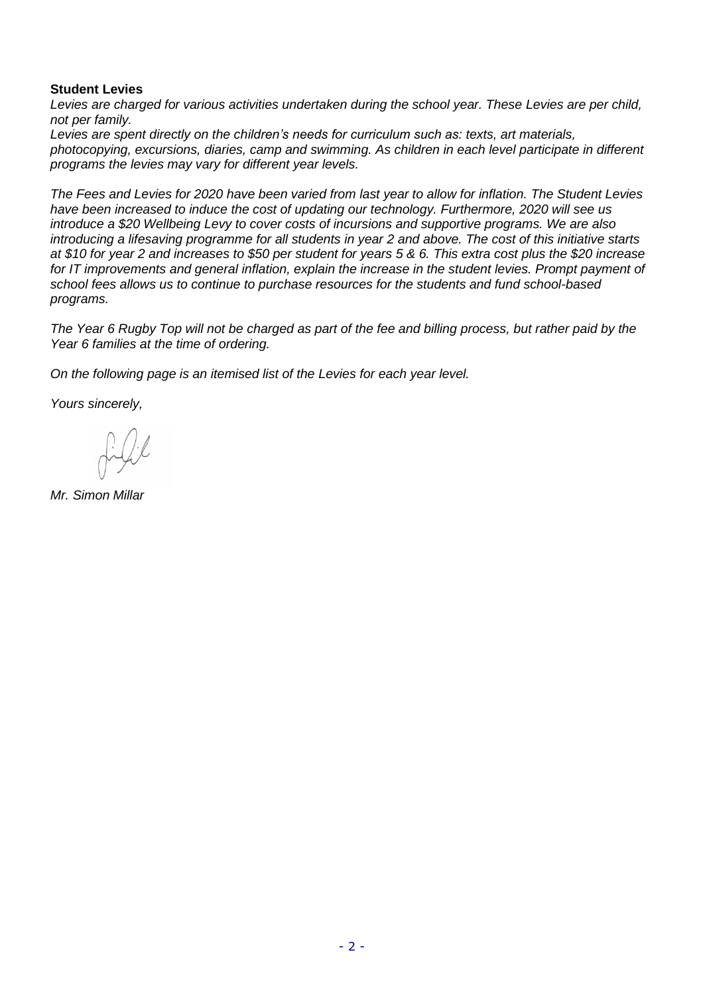## **Student Levies**

*Levies are charged for various activities undertaken during the school year. These Levies are per child, not per family.* 

*Levies are spent directly on the children's needs for curriculum such as: texts, art materials, photocopying, excursions, diaries, camp and swimming. As children in each level participate in different programs the levies may vary for different year levels.*

*The Fees and Levies for 2020 have been varied from last year to allow for inflation. The Student Levies have been increased to induce the cost of updating our technology. Furthermore, 2020 will see us introduce a \$20 Wellbeing Levy to cover costs of incursions and supportive programs. We are also introducing a lifesaving programme for all students in year 2 and above. The cost of this initiative starts at \$10 for year 2 and increases to \$50 per student for years 5 & 6. This extra cost plus the \$20 increase for IT improvements and general inflation, explain the increase in the student levies. Prompt payment of school fees allows us to continue to purchase resources for the students and fund school-based programs.*

*The Year 6 Rugby Top will not be charged as part of the fee and billing process, but rather paid by the Year 6 families at the time of ordering.*

*On the following page is an itemised list of the Levies for each year level.*

*Yours sincerely,*

*Mr. Simon Millar*